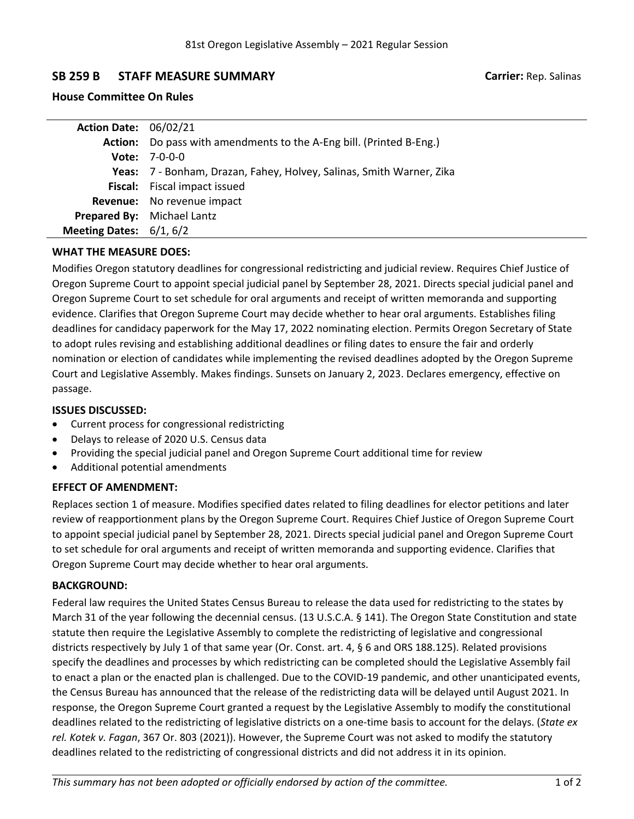# **SB 259 B STAFF MEASURE SUMMARY Carrier:** Rep. Salinas

# **House Committee On Rules**

| <b>Action Date: 06/02/21</b> |                                                                            |
|------------------------------|----------------------------------------------------------------------------|
|                              | <b>Action:</b> Do pass with amendments to the A-Eng bill. (Printed B-Eng.) |
|                              | <b>Vote:</b> $7-0-0-0$                                                     |
|                              | Yeas: 7 - Bonham, Drazan, Fahey, Holvey, Salinas, Smith Warner, Zika       |
|                              | Fiscal: Fiscal impact issued                                               |
|                              | Revenue: No revenue impact                                                 |
|                              | Prepared By: Michael Lantz                                                 |
| Meeting Dates: $6/1, 6/2$    |                                                                            |
|                              |                                                                            |

## **WHAT THE MEASURE DOES:**

Modifies Oregon statutory deadlines for congressional redistricting and judicial review. Requires Chief Justice of Oregon Supreme Court to appoint special judicial panel by September 28, 2021. Directs special judicial panel and Oregon Supreme Court to set schedule for oral arguments and receipt of written memoranda and supporting evidence. Clarifies that Oregon Supreme Court may decide whether to hear oral arguments. Establishes filing deadlines for candidacy paperwork for the May 17, 2022 nominating election. Permits Oregon Secretary of State to adopt rules revising and establishing additional deadlines or filing dates to ensure the fair and orderly nomination or election of candidates while implementing the revised deadlines adopted by the Oregon Supreme Court and Legislative Assembly. Makes findings. Sunsets on January 2, 2023. Declares emergency, effective on passage.

# **ISSUES DISCUSSED:**

- . Current process for congressional redistricting
- . Delays to release of 2020 U.S. Census data
- . Providing the special judicial panel and Oregon Supreme Court additional time for review
- . Additional potential amendments

## **EFFECT OF AMENDMENT:**

Replaces section 1 of measure. Modifies specified dates related to filing deadlines for elector petitions and later review of reapportionment plans by the Oregon Supreme Court. Requires Chief Justice of Oregon Supreme Court to appoint special judicial panel by September 28, 2021. Directs special judicial panel and Oregon Supreme Court to set schedule for oral arguments and receipt of written memoranda and supporting evidence. Clarifies that Oregon Supreme Court may decide whether to hear oral arguments.

# **BACKGROUND:**

Federal law requires the United States Census Bureau to release the data used for redistricting to the states by March 31 of the year following the decennial census. (13 U.S.C.A. § 141). The Oregon State Constitution and state statute then require the Legislative Assembly to complete the redistricting of legislative and congressional districts respectively by July 1 of that same year (Or. Const. art. 4, § 6 and ORS 188.125). Related provisions specify the deadlines and processes by which redistricting can be completed should the Legislative Assembly fail to enact <sup>a</sup> plan or the enacted plan is challenged. Due to the COVID-19 pandemic, and other unanticipated events, the Census Bureau has announced that the release of the redistricting data will be delayed until August 2021. In response, the Oregon Supreme Court granted <sup>a</sup> request by the Legislative Assembly to modify the constitutional deadlines related to the redistricting of legislative districts on <sup>a</sup> one-time basis to account for the delays. (*State ex rel. Kotek v. Fagan*, 367 Or. 803 (2021)). However, the Supreme Court was not asked to modify the statutory deadlines related to the redistricting of congressional districts and did not address it in its opinion.